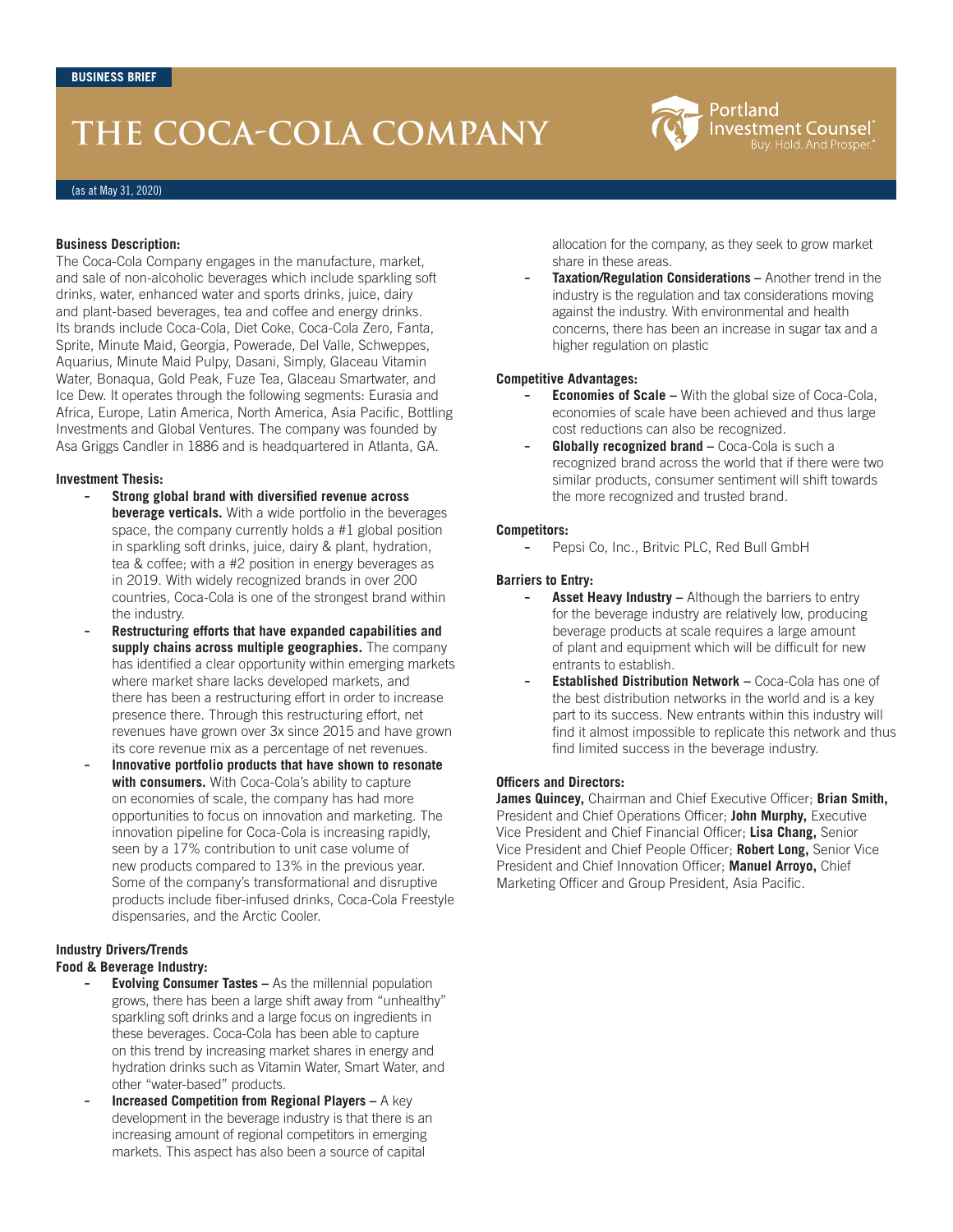# **THE COCA-COLA COMPANY**



#### **Business Description:**

The Coca-Cola Company engages in the manufacture, market, and sale of non-alcoholic beverages which include sparkling soft drinks, water, enhanced water and sports drinks, juice, dairy and plant-based beverages, tea and coffee and energy drinks. Its brands include Coca-Cola, Diet Coke, Coca-Cola Zero, Fanta, Sprite, Minute Maid, Georgia, Powerade, Del Valle, Schweppes, Aquarius, Minute Maid Pulpy, Dasani, Simply, Glaceau Vitamin Water, Bonaqua, Gold Peak, Fuze Tea, Glaceau Smartwater, and Ice Dew. It operates through the following segments: Eurasia and Africa, Europe, Latin America, North America, Asia Pacific, Bottling Investments and Global Ventures. The company was founded by Asa Griggs Candler in 1886 and is headquartered in Atlanta, GA.

#### **Investment Thesis:**

- **Strong global brand with diversified revenue across beverage verticals.** With a wide portfolio in the beverages space, the company currently holds a #1 global position in sparkling soft drinks, juice, dairy & plant, hydration, tea & coffee; with a #2 position in energy beverages as in 2019. With widely recognized brands in over 200 countries, Coca-Cola is one of the strongest brand within the industry.
- **Restructuring efforts that have expanded capabilities and supply chains across multiple geographies.** The company has identified a clear opportunity within emerging markets where market share lacks developed markets, and there has been a restructuring effort in order to increase presence there. Through this restructuring effort, net revenues have grown over 3x since 2015 and have grown its core revenue mix as a percentage of net revenues.
- **Innovative portfolio products that have shown to resonate with consumers.** With Coca-Cola's ability to capture on economies of scale, the company has had more opportunities to focus on innovation and marketing. The innovation pipeline for Coca-Cola is increasing rapidly, seen by a 17% contribution to unit case volume of new products compared to 13% in the previous year. Some of the company's transformational and disruptive products include fiber-infused drinks, Coca-Cola Freestyle dispensaries, and the Arctic Cooler.

### **Industry Drivers/Trends**

### **Food & Beverage Industry:**

- **Evolving Consumer Tastes As the millennial population** grows, there has been a large shift away from "unhealthy" sparkling soft drinks and a large focus on ingredients in these beverages. Coca-Cola has been able to capture on this trend by increasing market shares in energy and hydration drinks such as Vitamin Water, Smart Water, and other "water-based" products.
- **Increased Competition from Regional Players A key** development in the beverage industry is that there is an increasing amount of regional competitors in emerging markets. This aspect has also been a source of capital

allocation for the company, as they seek to grow market share in these areas.

Portland

**Investment Counsel** Buy. Hold. And Prosper

**Taxation/Regulation Considerations –** Another trend in the industry is the regulation and tax considerations moving against the industry. With environmental and health concerns, there has been an increase in sugar tax and a higher regulation on plastic

#### **Competitive Advantages:**

- **Economies of Scale –** With the global size of Coca-Cola, economies of scale have been achieved and thus large cost reductions can also be recognized.
- **Globally recognized brand Coca-Cola is such a** recognized brand across the world that if there were two similar products, consumer sentiment will shift towards the more recognized and trusted brand.

#### **Competitors:**

- Pepsi Co, Inc., Britvic PLC, Red Bull GmbH

#### **Barriers to Entry:**

- Asset Heavy Industry Although the barriers to entry for the beverage industry are relatively low, producing beverage products at scale requires a large amount of plant and equipment which will be difficult for new entrants to establish.
- **Established Distribution Network Coca-Cola has one of** the best distribution networks in the world and is a key part to its success. New entrants within this industry will find it almost impossible to replicate this network and thus find limited success in the beverage industry.

#### **Officers and Directors:**

**James Quincey,** Chairman and Chief Executive Officer; **Brian Smith,**  President and Chief Operations Officer; **John Murphy,** Executive Vice President and Chief Financial Officer; **Lisa Chang,** Senior Vice President and Chief People Officer; **Robert Long,** Senior Vice President and Chief Innovation Officer; **Manuel Arroyo,** Chief Marketing Officer and Group President, Asia Pacific.